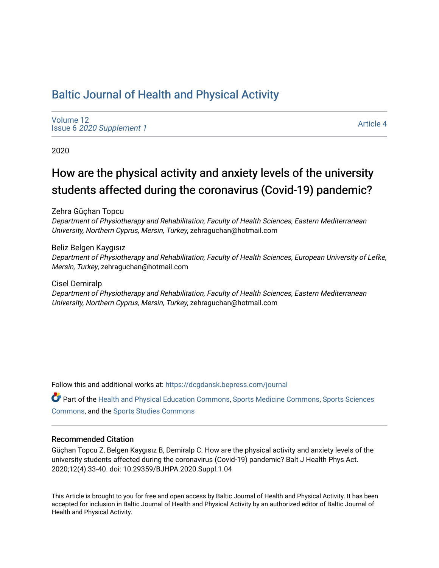# [Baltic Journal of Health and Physical Activity](https://dcgdansk.bepress.com/journal)

[Volume 12](https://dcgdansk.bepress.com/journal/vol12) Issue 6 [2020 Supplement 1](https://dcgdansk.bepress.com/journal/vol12/iss6) 

[Article 4](https://dcgdansk.bepress.com/journal/vol12/iss6/4) 

2020

# How are the physical activity and anxiety levels of the university students affected during the coronavirus (Covid-19) pandemic?

Zehra Güçhan Topcu

Department of Physiotherapy and Rehabilitation, Faculty of Health Sciences, Eastern Mediterranean University, Northern Cyprus, Mersin, Turkey, zehraguchan@hotmail.com

Beliz Belgen Kaygısız Department of Physiotherapy and Rehabilitation, Faculty of Health Sciences, European University of Lefke, Mersin, Turkey, zehraguchan@hotmail.com

Cisel Demiralp Department of Physiotherapy and Rehabilitation, Faculty of Health Sciences, Eastern Mediterranean University, Northern Cyprus, Mersin, Turkey, zehraguchan@hotmail.com

Follow this and additional works at: [https://dcgdansk.bepress.com/journal](https://dcgdansk.bepress.com/journal?utm_source=dcgdansk.bepress.com%2Fjournal%2Fvol12%2Fiss6%2F4&utm_medium=PDF&utm_campaign=PDFCoverPages)

Part of the [Health and Physical Education Commons](http://network.bepress.com/hgg/discipline/1327?utm_source=dcgdansk.bepress.com%2Fjournal%2Fvol12%2Fiss6%2F4&utm_medium=PDF&utm_campaign=PDFCoverPages), [Sports Medicine Commons,](http://network.bepress.com/hgg/discipline/1331?utm_source=dcgdansk.bepress.com%2Fjournal%2Fvol12%2Fiss6%2F4&utm_medium=PDF&utm_campaign=PDFCoverPages) [Sports Sciences](http://network.bepress.com/hgg/discipline/759?utm_source=dcgdansk.bepress.com%2Fjournal%2Fvol12%2Fiss6%2F4&utm_medium=PDF&utm_campaign=PDFCoverPages) [Commons](http://network.bepress.com/hgg/discipline/759?utm_source=dcgdansk.bepress.com%2Fjournal%2Fvol12%2Fiss6%2F4&utm_medium=PDF&utm_campaign=PDFCoverPages), and the [Sports Studies Commons](http://network.bepress.com/hgg/discipline/1198?utm_source=dcgdansk.bepress.com%2Fjournal%2Fvol12%2Fiss6%2F4&utm_medium=PDF&utm_campaign=PDFCoverPages) 

#### Recommended Citation

Güçhan Topcu Z, Belgen Kaygısız B, Demiralp C. How are the physical activity and anxiety levels of the university students affected during the coronavirus (Covid-19) pandemic? Balt J Health Phys Act. 2020;12(4):33-40. doi: 10.29359/BJHPA.2020.Suppl.1.04

This Article is brought to you for free and open access by Baltic Journal of Health and Physical Activity. It has been accepted for inclusion in Baltic Journal of Health and Physical Activity by an authorized editor of Baltic Journal of Health and Physical Activity.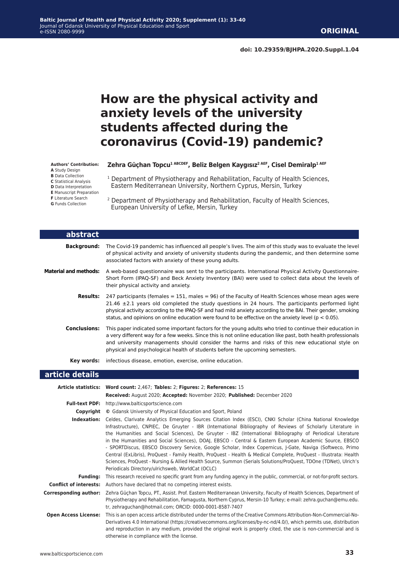# **How are the physical activity and anxiety levels of the university students affected during the coronavirus (Covid-19) pandemic?**

**Authors' Contribution: A** Study Design **B** Data Collection **C** Statistical Analysis **D** Data Interpretation **E** Manuscript Preparation

**F** Literature Search

**G** Funds Collection

#### **Zehra Güçhan Topcu1 ABCDEF, Beliz Belgen Kaygısız2 AEF, Cisel Demiralp1 AEF**

<sup>1</sup> Department of Physiotherapy and Rehabilitation, Faculty of Health Sciences, Eastern Mediterranean University, Northern Cyprus, Mersin, Turkey

2 Department of Physiotherapy and Rehabilitation, Faculty of Health Sciences, European University of Lefke, Mersin, Turkey

| abstract                     |                                                                                                                                                                                                                                                                                                                                                                                                                                                                                                                                                                                                                                                                                                                                                                                                                                                                           |  |  |  |
|------------------------------|---------------------------------------------------------------------------------------------------------------------------------------------------------------------------------------------------------------------------------------------------------------------------------------------------------------------------------------------------------------------------------------------------------------------------------------------------------------------------------------------------------------------------------------------------------------------------------------------------------------------------------------------------------------------------------------------------------------------------------------------------------------------------------------------------------------------------------------------------------------------------|--|--|--|
| <b>Background:</b>           | The Covid-19 pandemic has influenced all people's lives. The aim of this study was to evaluate the level<br>of physical activity and anxiety of university students during the pandemic, and then determine some<br>associated factors with anxiety of these young adults.                                                                                                                                                                                                                                                                                                                                                                                                                                                                                                                                                                                                |  |  |  |
| <b>Material and methods:</b> | A web-based questionnaire was sent to the participants. International Physical Activity Questionnaire-<br>Short Form (IPAQ-SF) and Beck Anxiety Inventory (BAI) were used to collect data about the levels of<br>their physical activity and anxiety.                                                                                                                                                                                                                                                                                                                                                                                                                                                                                                                                                                                                                     |  |  |  |
| <b>Results:</b>              | 247 participants (females = 151, males = 96) of the Faculty of Health Sciences whose mean ages were<br>$21.46 \pm 2.1$ years old completed the study questions in 24 hours. The participants performed light<br>physical activity according to the IPAQ-SF and had mild anxiety according to the BAI. Their gender, smoking<br>status, and opinions on online education were found to be effective on the anxiety level ( $p < 0.05$ ).                                                                                                                                                                                                                                                                                                                                                                                                                                   |  |  |  |
| <b>Conclusions:</b>          | This paper indicated some important factors for the young adults who tried to continue their education in<br>a very different way for a few weeks. Since this is not online education like past, both health professionals<br>and university managements should consider the harms and risks of this new educational style on<br>physical and psychological health of students before the upcoming semesters.                                                                                                                                                                                                                                                                                                                                                                                                                                                             |  |  |  |
| Key words:                   | infectious disease, emotion, exercise, online education.                                                                                                                                                                                                                                                                                                                                                                                                                                                                                                                                                                                                                                                                                                                                                                                                                  |  |  |  |
| article details              |                                                                                                                                                                                                                                                                                                                                                                                                                                                                                                                                                                                                                                                                                                                                                                                                                                                                           |  |  |  |
|                              | Article statistics: Word count: 2,467; Tables: 2; Figures: 2; References: 15                                                                                                                                                                                                                                                                                                                                                                                                                                                                                                                                                                                                                                                                                                                                                                                              |  |  |  |
|                              | Received: August 2020; Accepted: November 2020; Published: December 2020                                                                                                                                                                                                                                                                                                                                                                                                                                                                                                                                                                                                                                                                                                                                                                                                  |  |  |  |
|                              | Full-text PDF: http://www.balticsportscience.com                                                                                                                                                                                                                                                                                                                                                                                                                                                                                                                                                                                                                                                                                                                                                                                                                          |  |  |  |
|                              | <b>Copyright</b> © Gdansk University of Physical Education and Sport, Poland                                                                                                                                                                                                                                                                                                                                                                                                                                                                                                                                                                                                                                                                                                                                                                                              |  |  |  |
|                              | Indexation: Celdes, Clarivate Analytics Emerging Sources Citation Index (ESCI), CNKI Scholar (China National Knowledge<br>Infrastructure), CNPIEC, De Gruyter - IBR (International Bibliography of Reviews of Scholarly Literature in<br>the Humanities and Social Sciences), De Gruyter - IBZ (International Bibliography of Periodical Literature<br>in the Humanities and Social Sciences), DOAJ, EBSCO - Central & Eastern European Academic Source, EBSCO<br>- SPORTDiscus, EBSCO Discovery Service, Google Scholar, Index Copernicus, J-Gate, Naviga (Softweco, Primo<br>Central (ExLibris), ProQuest - Family Health, ProQuest - Health & Medical Complete, ProQuest - Illustrata: Health<br>Sciences, ProQuest - Nursing & Allied Health Source, Summon (Serials Solutions/ProQuest, TDOne (TDNet), Ulrich's<br>Periodicals Directory/ulrichsweb, WorldCat (OCLC) |  |  |  |
| <b>Funding:</b>              | This research received no specific grant from any funding agency in the public, commercial, or not-for-profit sectors.                                                                                                                                                                                                                                                                                                                                                                                                                                                                                                                                                                                                                                                                                                                                                    |  |  |  |
|                              | <b>Conflict of interests:</b> Authors have declared that no competing interest exists.                                                                                                                                                                                                                                                                                                                                                                                                                                                                                                                                                                                                                                                                                                                                                                                    |  |  |  |
| <b>Corresponding author:</b> | Zehra Güçhan Topcu, PT., Assist. Prof. Eastern Mediterranean University, Faculty of Health Sciences, Department of<br>Physiotherapy and Rehabilitation, Famagusta, Northern Cyprus, Mersin-10 Turkey; e-mail: zehra.guchan@emu.edu.<br>tr, zehraguchan@hotmail.com; ORCID: 0000-0001-8587-7407                                                                                                                                                                                                                                                                                                                                                                                                                                                                                                                                                                            |  |  |  |
|                              | This is an anon accoss article distributed under the tarms of the Creative Commons Attribution Nep Commorsial Ne                                                                                                                                                                                                                                                                                                                                                                                                                                                                                                                                                                                                                                                                                                                                                          |  |  |  |

**Open Access License:** This is an open access article distributed under the terms of the Creative Commons Attribution-Non-Commercial-No-Derivatives 4.0 International (https://creativecommons.org/licenses/by-nc-nd/4.0/), which permits use, distribution and reproduction in any medium, provided the original work is properly cited, the use is non-commercial and is otherwise in compliance with the license.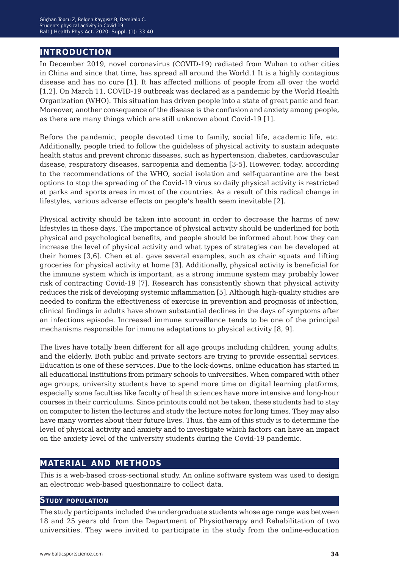## **introduction**

In December 2019, novel coronavirus (COVID-19) radiated from Wuhan to other cities in China and since that time, has spread all around the World.1 It is a highly contagious disease and has no cure [1]. It has affected millions of people from all over the world [1,2]. On March 11, COVID-19 outbreak was declared as a pandemic by the World Health Organization (WHO). This situation has driven people into a state of great panic and fear. Moreover, another consequence of the disease is the confusion and anxiety among people, as there are many things which are still unknown about Covid-19 [1].

Before the pandemic, people devoted time to family, social life, academic life, etc. Additionally, people tried to follow the guideless of physical activity to sustain adequate health status and prevent chronic diseases, such as hypertension, diabetes, cardiovascular disease, respiratory diseases, sarcopenia and dementia [3-5]. However, today, according to the recommendations of the WHO, social isolation and self-quarantine are the best options to stop the spreading of the Covid-19 virus so daily physical activity is restricted at parks and sports areas in most of the countries. As a result of this radical change in lifestyles, various adverse effects on people's health seem inevitable [2].

Physical activity should be taken into account in order to decrease the harms of new lifestyles in these days. The importance of physical activity should be underlined for both physical and psychological benefits, and people should be informed about how they can increase the level of physical activity and what types of strategies can be developed at their homes [3,6]. Chen et al. gave several examples, such as chair squats and lifting groceries for physical activity at home [3]. Additionally, physical activity is beneficial for the immune system which is important, as a strong immune system may probably lower risk of contracting Covid-19 [7]. Research has consistently shown that physical activity reduces the risk of developing systemic inflammation [5]. Although high-quality studies are needed to confirm the effectiveness of exercise in prevention and prognosis of infection, clinical findings in adults have shown substantial declines in the days of symptoms after an infectious episode. Increased immune surveillance tends to be one of the principal mechanisms responsible for immune adaptations to physical activity [8, 9].

The lives have totally been different for all age groups including children, young adults, and the elderly. Both public and private sectors are trying to provide essential services. Education is one of these services. Due to the lock-downs, online education has started in all educational institutions from primary schools to universities. When compared with other age groups, university students have to spend more time on digital learning platforms, especially some faculties like faculty of health sciences have more intensive and long-hour courses in their curriculums. Since printouts could not be taken, these students had to stay on computer to listen the lectures and study the lecture notes for long times. They may also have many worries about their future lives. Thus, the aim of this study is to determine the level of physical activity and anxiety and to investigate which factors can have an impact on the anxiety level of the university students during the Covid-19 pandemic.

## **material and methods**

This is a web-based cross-sectional study. An online software system was used to design an electronic web-based questionnaire to collect data.

### **Study population**

The study participants included the undergraduate students whose age range was between 18 and 25 years old from the Department of Physiotherapy and Rehabilitation of two universities. They were invited to participate in the study from the online-education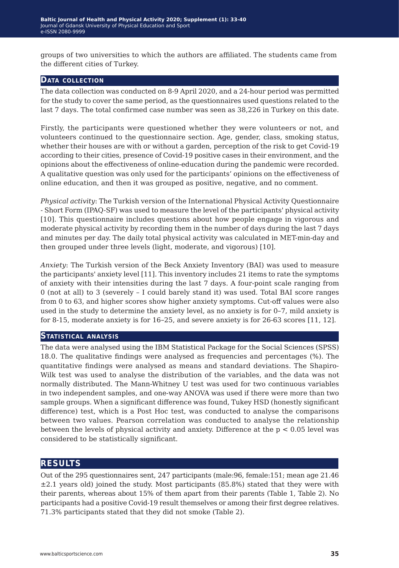groups of two universities to which the authors are affiliated. The students came from the different cities of Turkey.

### **Data collection**

The data collection was conducted on 8-9 April 2020, and a 24-hour period was permitted for the study to cover the same period, as the questionnaires used questions related to the last 7 days. The total confirmed case number was seen as 38,226 in Turkey on this date.

Firstly, the participants were questioned whether they were volunteers or not, and volunteers continued to the questionnaire section. Age, gender, class, smoking status, whether their houses are with or without a garden, perception of the risk to get Covid-19 according to their cities, presence of Covid-19 positive cases in their environment, and the opinions about the effectiveness of online-education during the pandemic were recorded. A qualitative question was only used for the participants' opinions on the effectiveness of online education, and then it was grouped as positive, negative, and no comment.

*Physical activity*: The Turkish version of the International Physical Activity Questionnaire - Short Form (IPAQ-SF) was used to measure the level of the participants' physical activity [10]. This questionnaire includes questions about how people engage in vigorous and moderate physical activity by recording them in the number of days during the last 7 days and minutes per day. The daily total physical activity was calculated in MET-min-day and then grouped under three levels (light, moderate, and vigorous) [10].

*Anxiety*: The Turkish version of the Beck Anxiety Inventory (BAI) was used to measure the participants' anxiety level [11]. This inventory includes 21 items to rate the symptoms of anxiety with their intensities during the last 7 days. A four-point scale ranging from 0 (not at all) to 3 (severely – I could barely stand it) was used. Total BAI score ranges from 0 to 63, and higher scores show higher anxiety symptoms. Cut-off values were also used in the study to determine the anxiety level, as no anxiety is for 0*−*7, mild anxiety is for 8-15, moderate anxiety is for 16*−*25, and severe anxiety is for 26-63 scores [11, 12].

### **Statistical analysis**

The data were analysed using the IBM Statistical Package for the Social Sciences (SPSS) 18.0. The qualitative findings were analysed as frequencies and percentages (%). The quantitative findings were analysed as means and standard deviations. The Shapiro-Wilk test was used to analyse the distribution of the variables, and the data was not normally distributed. The Mann-Whitney U test was used for two continuous variables in two independent samples, and one-way ANOVA was used if there were more than two sample groups. When a significant difference was found, Tukey HSD (honestly significant difference) test, which is a Post Hoc test, was conducted to analyse the comparisons between two values. Pearson correlation was conducted to analyse the relationship between the levels of physical activity and anxiety. Difference at the p < 0.05 level was considered to be statistically significant.

## **results**

Out of the 295 questionnaires sent, 247 participants (male:96, female:151; mean age 21.46 ±2.1 years old) joined the study. Most participants (85.8%) stated that they were with their parents, whereas about 15% of them apart from their parents (Table 1, Table 2). No participants had a positive Covid-19 result themselves or among their first degree relatives. 71.3% participants stated that they did not smoke (Table 2).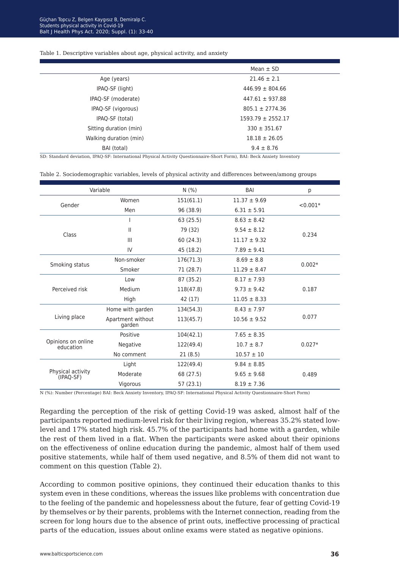#### Table 1. Descriptive variables about age, physical activity, and anxiety

|                        | Mean $\pm$ SD         |
|------------------------|-----------------------|
| Age (years)            | $21.46 \pm 2.1$       |
| IPAQ-SF (light)        | $446.99 \pm 804.66$   |
| IPAQ-SF (moderate)     | $447.61 \pm 937.88$   |
| IPAQ-SF (vigorous)     | $805.1 \pm 2774.36$   |
| IPAQ-SF (total)        | $1593.79 \pm 2552.17$ |
| Sitting duration (min) | $330 \pm 351.67$      |
| Walking duration (min) | $18.18 \pm 26.05$     |
| BAI (total)            | $9.4 \pm 8.76$        |

SD: Standard deviation, IPAQ-SF: International Physical Activity Questionnaire-Short Form), BAI: Beck Anxiety Inventory

| Table 2. Sociodemographic variables, levels of physical activity and differences between/among groups |  |  |  |
|-------------------------------------------------------------------------------------------------------|--|--|--|
|-------------------------------------------------------------------------------------------------------|--|--|--|

| Variable                        |                             | N(% )     | BAI              | р          |
|---------------------------------|-----------------------------|-----------|------------------|------------|
| Gender                          | Women                       | 151(61.1) | $11.37 \pm 9.69$ | $< 0.001*$ |
|                                 | Men                         | 96 (38.9) | $6.31 \pm 5.91$  |            |
| Class                           |                             | 63(25.5)  | $8.63 \pm 8.42$  |            |
|                                 | Ш                           | 79 (32)   | $9.54 \pm 8.12$  |            |
|                                 | Ш                           | 60 (24.3) | $11.17 \pm 9.32$ | 0.234      |
|                                 | IV                          | 45 (18.2) | $7.89 \pm 9.41$  |            |
| Smoking status                  | Non-smoker                  | 176(71.3) | $8.69 \pm 8.8$   |            |
|                                 | Smoker                      | 71 (28.7) | $11.29 \pm 8.47$ | $0.002*$   |
| Perceived risk                  | Low                         | 87 (35.2) | $8.17 \pm 7.93$  |            |
|                                 | Medium                      | 118(47.8) | $9.73 \pm 9.42$  | 0.187      |
|                                 | High                        | 42 (17)   | $11.05 \pm 8.33$ |            |
|                                 | Home with garden            | 134(54.3) | $8.43 \pm 7.97$  |            |
| Living place                    | Apartment without<br>garden | 113(45.7) | $10.56 \pm 9.52$ | 0.077      |
|                                 | Positive                    | 104(42.1) | $7.65 \pm 8.35$  |            |
| Opinions on online<br>education | Negative                    | 122(49.4) | $10.7 \pm 8.7$   | $0.027*$   |
|                                 | No comment                  | 21(8.5)   | $10.57 \pm 10$   |            |
|                                 | Light                       | 122(49.4) | $9.84 \pm 8.85$  |            |
| Physical activity<br>(IPAO-SF)  | Moderate                    | 68 (27.5) | $9.65 \pm 9.68$  | 0.489      |
|                                 | Vigorous                    | 57 (23.1) | $8.19 \pm 7.36$  |            |
|                                 |                             |           |                  |            |

N (%): Number (Percentage) BAI: Beck Anxiety Inventory, IPAQ-SF: International Physical Activity Questionnaire-Short Form)

Regarding the perception of the risk of getting Covid-19 was asked, almost half of the participants reported medium-level risk for their living region, whereas 35.2% stated lowlevel and 17% stated high risk. 45.7% of the participants had home with a garden, while the rest of them lived in a flat. When the participants were asked about their opinions on the effectiveness of online education during the pandemic, almost half of them used positive statements, while half of them used negative, and 8.5% of them did not want to comment on this question (Table 2).

According to common positive opinions, they continued their education thanks to this system even in these conditions, whereas the issues like problems with concentration due to the feeling of the pandemic and hopelessness about the future, fear of getting Covid-19 by themselves or by their parents, problems with the Internet connection, reading from the screen for long hours due to the absence of print outs, ineffective processing of practical parts of the education, issues about online exams were stated as negative opinions.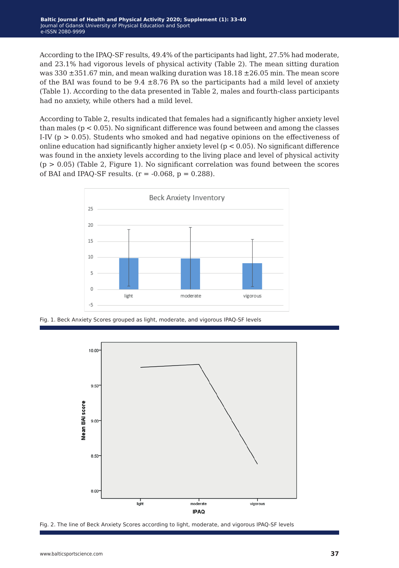According to the IPAQ-SF results, 49.4% of the participants had light, 27.5% had moderate, and 23.1% had vigorous levels of physical activity (Table 2). The mean sitting duration was  $330 \pm 351.67$  min, and mean walking duration was  $18.18 \pm 26.05$  min. The mean score of the BAI was found to be  $9.4 \pm 8.76$  PA so the participants had a mild level of anxiety (Table 1). According to the data presented in Table 2, males and fourth-class participants had no anxiety, while others had a mild level.

According to Table 2, results indicated that females had a significantly higher anxiety level than males ( $p < 0.05$ ). No significant difference was found between and among the classes I-IV ( $p > 0.05$ ). Students who smoked and had negative opinions on the effectiveness of online education had significantly higher anxiety level  $(p < 0.05)$ . No significant difference was found in the anxiety levels according to the living place and level of physical activity  $(p > 0.05)$  (Table 2, Figure 1). No significant correlation was found between the scores of BAI and IPAQ-SF results.  $(r = -0.068, p = 0.288)$ .



Fig. 1. Beck Anxiety Scores grouped as light, moderate, and vigorous IPAQ-SF levels



Fig. 2. The line of Beck Anxiety Scores according to light, moderate, and vigorous IPAQ-SF levels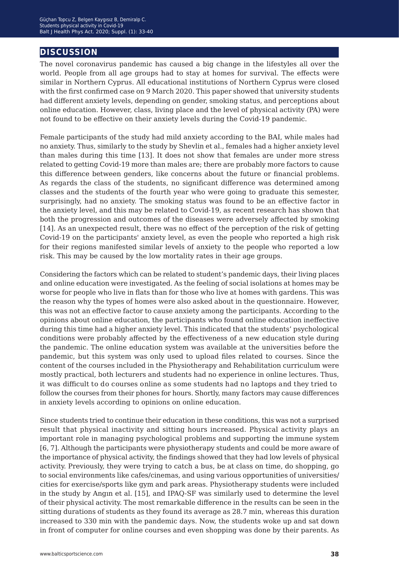## **discussion**

The novel coronavirus pandemic has caused a big change in the lifestyles all over the world. People from all age groups had to stay at homes for survival. The effects were similar in Northern Cyprus. All educational institutions of Northern Cyprus were closed with the first confirmed case on 9 March 2020. This paper showed that university students had different anxiety levels, depending on gender, smoking status, and perceptions about online education. However, class, living place and the level of physical activity (PA) were not found to be effective on their anxiety levels during the Covid-19 pandemic.

Female participants of the study had mild anxiety according to the BAI, while males had no anxiety. Thus, similarly to the study by Shevlin et al., females had a higher anxiety level than males during this time [13]. It does not show that females are under more stress related to getting Covid-19 more than males are; there are probably more factors to cause this difference between genders, like concerns about the future or financial problems. As regards the class of the students, no significant difference was determined among classes and the students of the fourth year who were going to graduate this semester, surprisingly, had no anxiety. The smoking status was found to be an effective factor in the anxiety level, and this may be related to Covid-19, as recent research has shown that both the progression and outcomes of the diseases were adversely affected by smoking [14]. As an unexpected result, there was no effect of the perception of the risk of getting Covid-19 on the participants' anxiety level, as even the people who reported a high risk for their regions manifested similar levels of anxiety to the people who reported a low risk. This may be caused by the low mortality rates in their age groups.

Considering the factors which can be related to student's pandemic days, their living places and online education were investigated. As the feeling of social isolations at homes may be worse for people who live in flats than for those who live at homes with gardens. This was the reason why the types of homes were also asked about in the questionnaire. However, this was not an effective factor to cause anxiety among the participants. According to the opinions about online education, the participants who found online education ineffective during this time had a higher anxiety level. This indicated that the students' psychological conditions were probably affected by the effectiveness of a new education style during the pandemic. The online education system was available at the universities before the pandemic, but this system was only used to upload files related to courses. Since the content of the courses included in the Physiotherapy and Rehabilitation curriculum were mostly practical, both lecturers and students had no experience in online lectures. Thus, it was difficult to do courses online as some students had no laptops and they tried to follow the courses from their phones for hours. Shortly, many factors may cause differences in anxiety levels according to opinions on online education.

Since students tried to continue their education in these conditions, this was not a surprised result that physical inactivity and sitting hours increased. Physical activity plays an important role in managing psychological problems and supporting the immune system [6, 7]. Although the participants were physiotherapy students and could be more aware of the importance of physical activity, the findings showed that they had low levels of physical activity. Previously, they were trying to catch a bus, be at class on time, do shopping, go to social environments like cafes/cinemas, and using various opportunities of universities/ cities for exercise/sports like gym and park areas. Physiotherapy students were included in the study by Angın et al. [15], and IPAQ-SF was similarly used to determine the level of their physical activity. The most remarkable difference in the results can be seen in the sitting durations of students as they found its average as 28.7 min, whereas this duration increased to 330 min with the pandemic days. Now, the students woke up and sat down in front of computer for online courses and even shopping was done by their parents. As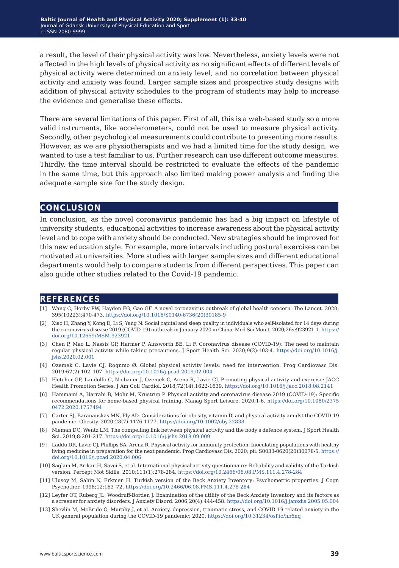a result, the level of their physical activity was low. Nevertheless, anxiety levels were not affected in the high levels of physical activity as no significant effects of different levels of physical activity were determined on anxiety level, and no correlation between physical activity and anxiety was found. Larger sample sizes and prospective study designs with addition of physical activity schedules to the program of students may help to increase the evidence and generalise these effects.

There are several limitations of this paper. First of all, this is a web-based study so a more valid instruments, like accelerometers, could not be used to measure physical activity. Secondly, other psychological measurements could contribute to presenting more results. However, as we are physiotherapists and we had a limited time for the study design, we wanted to use a test familiar to us. Further research can use different outcome measures. Thirdly, the time interval should be restricted to evaluate the effects of the pandemic in the same time, but this approach also limited making power analysis and finding the adequate sample size for the study design.

## **conclusion**

In conclusion, as the novel coronavirus pandemic has had a big impact on lifestyle of university students, educational activities to increase awareness about the physical activity level and to cope with anxiety should be conducted. New strategies should be improved for this new education style. For example, more intervals including postural exercises can be motivated at universities. More studies with larger sample sizes and different educational departments would help to compare students from different perspectives. This paper can also guide other studies related to the Covid-19 pandemic.

## **references**

- [1] Wang C, Horby PW, Hayden FG, Gao GF. A novel coronavirus outbreak of global health concern. The Lancet. 2020; 395(10223):470-473. [https://doi.org/10.1016/S0140-6736\(20\)30185-9](https://doi.org/10.1016/S0140-6736(20)30185-9)
- [2] Xiao H, Zhang Y, Kong D, Li S, Yang N. Social capital and sleep quality in individuals who self-isolated for 14 days during the coronavirus disease 2019 (COVID-19) outbreak in January 2020 in China. Med Sci Monit. 2020;26:e923921-1. [https://](https://doi.org/10.12659/MSM.923921) [doi.org/10.12659/MSM.923921](https://doi.org/10.12659/MSM.923921)
- [3] Chen P, Mao L, Nassis GP, Harmer P, Ainsworth BE, Li F. Coronavirus disease (COVID-19): The need to maintain regular physical activity while taking precautions. J Sport Health Sci. 2020;9(2):103-4. [https://doi.org/10.1016/j.](https://doi.org/10.1016/j.jshs.2020.02.001) [jshs.2020.02.001](https://doi.org/10.1016/j.jshs.2020.02.001)
- [4] Ozemek C, Lavie CJ, Rognmo Ø. Global physical activity levels: need for intervention. Prog Cardiovasc Dis. 2019;62(2):102–107. <https://doi.org/10.1016/j.pcad.2019.02.004>
- [5] Fletcher GF, Landolfo C, Niebauer J, Ozemek C, Arena R, Lavie CJ. Promoting physical activity and exercise: JACC Health Promotion Series. J Am Coll Cardiol. 2018;72(14):1622-1639. <https://doi.org/10.1016/j.jacc.2018.08.2141>
- [6] Hammami A, Harrabi B, Mohr M, Krustrup P. Physical activity and coronavirus disease 2019 (COVID-19): Specific recommendations for home-based physical training. Manag Sport Leisure. 2020;1-6. [https://doi.org/10.1080/2375](https://doi.org/10.1080/23750472.2020.1757494) [0472.2020.1757494](https://doi.org/10.1080/23750472.2020.1757494)
- [7] Carter SJ, Baranauskas MN, Fly AD. Considerations for obesity, vitamin D, and physical activity amidst the COVID‐19 pandemic. Obesity. 2020;28(7):1176-1177. <https://doi.org/10.1002/oby.22838>
- [8] Nieman DC, Wentz LM. The compelling link between physical activity and the body's defence system. J Sport Health Sci. 2019;8:201-217. <https://doi.org/10.1016/j.jshs.2018.09.009>
- [9] Laddu DR, Lavie CJ, Phillips SA, Arena R. Physical activity for immunity protection: Inoculating populations with healthy living medicine in preparation for the next pandemic. Prog Cardiovasc Dis. 2020; pii: S0033-0620(20)30078-5. [https://](https://doi.org/10.1016/j.pcad.2020.04.006) [doi.org/10.1016/j.pcad.2020.04.006](https://doi.org/10.1016/j.pcad.2020.04.006)
- [10] Saglam M, Arikan H, Savci S, et al. International physical activity questionnaire: Reliability and validity of the Turkish version. Percept Mot Skills. 2010;111(1):278-284. [https://doi.org/10.2466/06.08.PMS.111.4.278-284](https://doi.org/10.2466/06.08.PMS.111.4.278-284 )
- [11] Ulusoy M, Sahin N, Erkmen H. Turkish version of the Beck Anxiety Inventory: Psychometric properties. J Cogn Psychother. 1998;12:163–72. <https://doi.org/10.2466/06.08.PMS.111.4.278-284>
- [12] Leyfer OT, Ruberg JL, Woodruff-Borden J. Examination of the utility of the Beck Anxiety Inventory and its factors as a screener for anxiety disorders. J Anxiety Disord. 2006;20(4):444-458. [https://doi.org/10.1016/j.janxdis.2005.05.004](https://doi.org/10.1016/j.janxdis.2005.05.004 )
- [13] Shevlin M, McBride O, Murphy J, et al. Anxiety, depression, traumatic stress, and COVID-19 related anxiety in the UK general population during the COVID-19 pandemic; 2020.<https://doi.org/10.31234/osf.io/hb6nq>